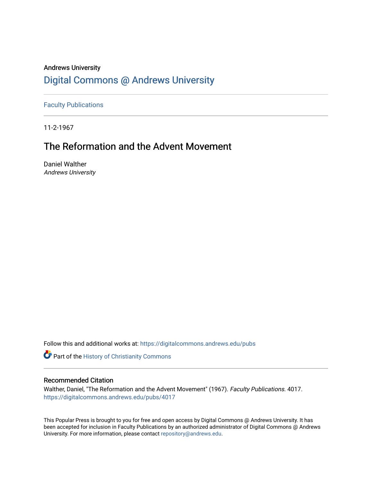# Andrews University [Digital Commons @ Andrews University](https://digitalcommons.andrews.edu/)

[Faculty Publications](https://digitalcommons.andrews.edu/pubs)

11-2-1967

# The Reformation and the Advent Movement

Daniel Walther Andrews University

Follow this and additional works at: [https://digitalcommons.andrews.edu/pubs](https://digitalcommons.andrews.edu/pubs?utm_source=digitalcommons.andrews.edu%2Fpubs%2F4017&utm_medium=PDF&utm_campaign=PDFCoverPages) 

Part of the [History of Christianity Commons](http://network.bepress.com/hgg/discipline/1182?utm_source=digitalcommons.andrews.edu%2Fpubs%2F4017&utm_medium=PDF&utm_campaign=PDFCoverPages) 

### Recommended Citation

Walther, Daniel, "The Reformation and the Advent Movement" (1967). Faculty Publications. 4017. [https://digitalcommons.andrews.edu/pubs/4017](https://digitalcommons.andrews.edu/pubs/4017?utm_source=digitalcommons.andrews.edu%2Fpubs%2F4017&utm_medium=PDF&utm_campaign=PDFCoverPages) 

This Popular Press is brought to you for free and open access by Digital Commons @ Andrews University. It has been accepted for inclusion in Faculty Publications by an authorized administrator of Digital Commons @ Andrews University. For more information, please contact [repository@andrews.edu](mailto:repository@andrews.edu).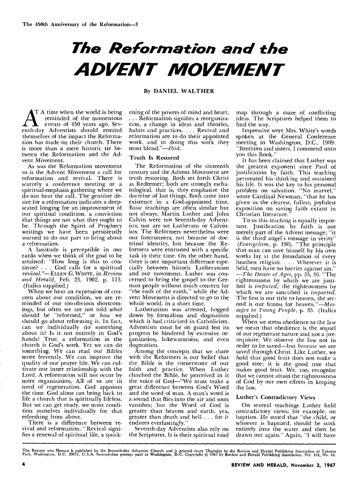# *The Reformation and the ADVENT MOVEMENT*

#### By DANIEL WALTHER

T A time when the world is being reminded of the momentous events of 450 years ago, Seventh-day Adventists should remind themselves of the impact the Reformation has made on their church. There is more than a mere historic tie between the Reformation and the Advent Movement.

As was the Reformation movement so is the Advent Movement a call for reformation and revival. There is scarcely a conference meeting or a spiritual-emphasis gathering where we do not hear the call. The genuine desire for a reformation indicates a deepseated longing for an improvement of our spiritual condition, a conviction that things are not what they ought to be. Through the Spirit of Prophecy writings we have been persistently warned to do our part to bring about a reformation.

A lassitude is perceptible in our ranks when we think of the goal to be attained: "How long is this to continue? . . . God calls for a spiritual *revival."—ELLEN* G. WHITE, in *Review and Herald,* Feb. 25, 1902, p. 113. (Italics supplied.)

When we hear an expression of concern about our condition, we are reminded of our too-obvious shortcomings, but often we are not told *what*  should be "reformed," or *how* we should go about reforming it. In fact, can we individually do something about it? Is it not entirely in God's hands? True, a reformation in the church is God's work. Yet we can do something. We can read our Bibles more fervently. We can improve the quality of our prayer life. We can cultivate our inner relationship with the Lord. A reformation will not occur by mere organization. All of us are in need of regeneration. God appoints the time. God alone can bring back to life a church that is spiritually lifeless. But we can get ready, we must condition ourselves individually for that refreshing from above.

There is a difference between revival and reformation. "Revival signifies a renewal of spiritual life, a quickening of the powers of mind and heart. .. Reformation signifies a reorganization, a change in ideas and theories, habits and practices. . . . Revival and reformation are to do their appointed work, and in doing this work they must blend."—Ibid.

#### Truth Is Restored

The Reformation of the sixteenth century and the Advent Movement are truth restoring. Both set forth Christ as Redeemer; both are strongly eschatological, that is, they emphasize the doctrine of last things. Both came into existence in a God-appointed time. Basic teachings are often similar but not always. Martin Luther and John Calvin were not Seventh-day Adventists, nor are we Lutherans or Calvinists. The Reformers nevertheless were our forerunners, not because of doctrinal identity, but because the Reformers were entrusted with a specific task in their time. On the other hand, there is one important difference especially between historic Lutheranism and our movement. Luther was concerned to bring the gospel to the German people without much concern for "the ends of the earth," while the Advent Movement is directed to go to the whole world, in a short time.

Lutheranism was arrested, bogged down by formalism and dogmatism which it had criticized in Catholicism. Adventism must be on guard lest its progress be hindered by excessive organization, lukewarmness, and even dogmatism.

Among the concepts that we share with the Reformers is our belief that the Bible is the cornerstone of our faith and practice. When Luther clutched the Bible, he perceived in it the voice of God—"We must make a great difference between God's Word and the word of man. A man's word is a sound that flies into the air and soon vanishes; but the Word of God is greater than heaven and earth, yea, greater than death and hell . . . for it endures everlastingly."

Seventh-day Adventists also rely on the Scriptures. It is their spiritual road

map through a maze of conflicting ideas. The Scriptures helped them to find the way.

Impressive were Mrs. White's words spoken at the General Conference meeting in Washington, D.C., 1909: "Brethren and sisters, I commend unto you this Book."

It has been claimed that Luther was the greatest exponent since Paul of justification by faith. This teaching permeated his thinking and sustained his life. It was the key to his personal problem on salvation. "No marvel," wrote Cardinal Newman, "that he has given us the clearest, fullest, joyfulest exposition on saving faith extant in Christian literature."

To us this teaching is equally important. Justification by faith is not merely part of the Advent message; "it is the third angel's message in verity" *(Evangelism,* p. 190). "The principle that man can save himself by his own works lay at the foundation of every heathen religion. . . . Wherever it is held, men have no barrier against sin." *—The Desire of Ages,* pp. 35, 36. "The righteousness by which we are justified is *imputed;* the righteousness by which we are sanctified is *imparted.*  The first is our title to heaven, the second is our fitness for heaven."—Mes*sages to Young People,* p. 35. (Italics supplied.)

When we stress obedience to the law we mean that obedience is the sequel of our regenerate nature and not a prerequisite. We observe the law not in order to be saved—but *because* we are saved through Christ. Like Luther, we hold that good fruit does not make a good tree; it is the good tree that makes good fruit. We, too, recognize that we cannot attain the righteousness of God by our own efforts in keeping the law.

#### Luther's Contradictory Views

On several teachings Luther held contradictory views; for example, on baptism. He stated that "the child, or whoever is baptized, should be sunk entirely into the water and then be drawn out again." Again, "I will have

The Review AND Herald is published by the Seventh-day Adventist Church and is printed every Thursday by the Review and Herald Publishing Association at Takoma<br>Park, Washington, D.C. 20012, U.S.A. Second-class postage paid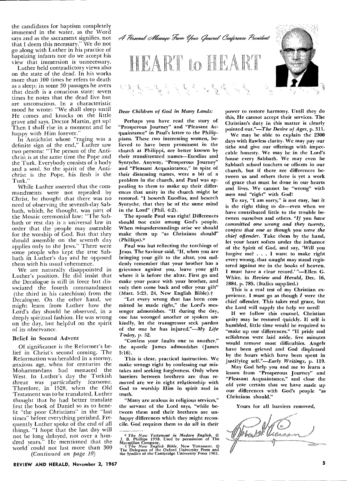the candidates for baptism completely immersed in the water, as the Word says and as the sacrament signifies, not that I deem this necessary." We do not go along with Luther in his practice of baptizing infants nor do we accept his view that immersion is unnecessary.

Luther held contradictory views also on the state of the dead. In his works more than 100 times he refers to death as a sleep; in some 30 passages he avers that death is a conscious state; seven times he notes that the dead live but are unconscious. In a characteristic mood he wrote: "We shall sleep until He comes and knocks on the little grave and says, Doctor Martin, get up! Then I shall rise in a moment and be happy with Him forever."

In Antichrist whose "raging was a definite sign of the end," Luther saw two persons: "The person of the Antichrist is at the same time the Pope and the. Turk. Everybody consists of a body and a soul. So the spirit of the Antichrist is the Pope, his flesh is the Turk."

While Luther asserted that the commandments were not repealed by Christ, he thought that there was no need of observing the seventh-day Sabbath, which, he thought, was part of the Mosaic ceremonial law: "The Sabbath or rest day is a universal law in order that the people may assemble for the worship of God. But that they should assemble on the seventh day applies only to the Jews." There were some people who kept the true Sabbath in Luther's day and he opposed them with his usual vehemence.

We are naturally disappointed in Luther's position. He did insist that the Decalogue is still in force but dissociated the fourth commandment (the third in his catechism) from the Decalogue. On the other hand, we might learn from Luther how the Lord's day should be observed, in a deeply spiritual fashion. He was wrong on the day, but helpful on the spirit of its observance.

#### Belief in Second Advent

Of significance is the Reformer's belief in Christ's second coming. The Reformation was heralded in a stormy, anxious age, when for centuries the Mohammedans had menaced the West. In Luther's day the Turkish threat was particularly fearsome. Therefore, in 1528, when the Old Testament was to be translated, Luther thought that he had better translate first the book of Daniel so as to benefit "the poor Christians" in the "last times" before everything perished. Frequently Luther spoke of the end of all things. "I hope that the last day will not be long delayed, not over a hundred years." He mentioned that the world could not last more than 300 *(Continued on page 10)* 



#### *Dear Children of God in Many Lands:*

Perhaps you have read the story of "Prosperous Journey" and "Pleasant Acquaintance" in Paul's letter to the Philippians. These two interesting women, *believed* to have been prominent in the church at Philippi, are better known by their transliterated names—Euodias and Syntyche. Anyway, "Prosperous Journey" and "Pleasant Acquaintance," in spite of their disarming names, were a bit of a problem in the church, and Paul was appealing to them to make up their differences that unity in the church might be restored. "I beseech Euodias, and beseech Syntyche, that they be of the same mind in the Lord" (Phil. 4:2).

The apostle Paul was right! Differences should not exist among God's people. When misunderstandings arise we should make them up "as Christians should" (Phillips).\*

Paul was but reflecting the teachings of Jesus. The Saviour said, "If, when you are bringing your gift to the altar, you suddenly remember that your brother has a grievance against you, leave your gift where it is before the altar. First go and make your peace with your brother, and only then come back and offer your gift" (Matt. 5:23, 24, New English Bible). $\dagger$ 

"Let every wrong that has been committed be made right," the Lord's messenger admonishes. "If during the day, one has wronged another or spoken unkindly, let the transgressor seek pardon of the one he has injured."—My *Life Today,* p. 32.

"Confess your faults one to another," the apostle James admonishes (James 5:16).

This is clear, practical instruction. We make wrongs right by confessing our mistakes and seeking forgiveness. Only when barriers between brethren are thus removed are we in right relationship with God to worship Him in spirit and in truth.

"Many are zealous in religious services," the servant of the Lord says, "while between them and their brethren are unhappy differences which they might reconcile. God requires *them* to do all in their

power to restore harmony. Until they do this, He cannot accept their services. The Christian's duty in this matter is clearly pointed out."—The *Desire of Ages,* p. 311.

We may be able to explain the 2300 days with flawless clarity. We may pay our tithe and give our offerings with impeccable honesty. We may be in the Lord's house every Sabbath. We may even be Sabbath school teachers or officers in our church, but if there are differences between us and others there is yet a work of grace that must be done in our hearts and lives. We cannot be "wrong" with men and "right" with God!

To say, "I am sorry," is not easy, but it is the right thing to do—even when we have contributed little to the trouble between ourselves and others. *"If you have committed one wrong and they twenty, confess that one as though you were the chief offender.* Take them by the hand, let your heart soften under the influence of the Spirit of God, and say, 'Will you forgive me? . . . I want to make right every wrong, that naught may stand registered against me in the books of heaven. I must have a clear record.' "—Ellen G. White, in *Review and Herald,* Dec. 16, 1884, p. 785. (Italics supplied.)

This is a real test of my Christian experience. I must go as though *I* were the chief *offender.* This *takes* real grace, but the Lord will supply the help we need!

If we follow this counsel, Christian unity may be restored quickly. If self is humbled, little time would be required to "make up our differences." "If pride and selfishness were laid aside, five minutes would remove most difficulties. Angels have been grieved and God displeased by the hours which have been spent in justifying self."—Early *Writings,* p. 119.

May God help you and me to learn a lesson from "Prosperous Journey" and "Pleasant Acquaintance," and close the old year certain that we have made up our differences with God's people "as Christians should."

Yours for all barriers removed,



**REVIEW AND HERALD, November 2, 1967 5** 

 $*$  The New Testament in Modern English,  $\mathbb{O}$ <br>J. B. Phillips 1958. Used by permission of The Macmillan Company.<br>Macmillan Company.<br> $+$  The New English Bible, New Testament.  $\mathbb{O}$ <br>The Delegates of the Oxford Univers